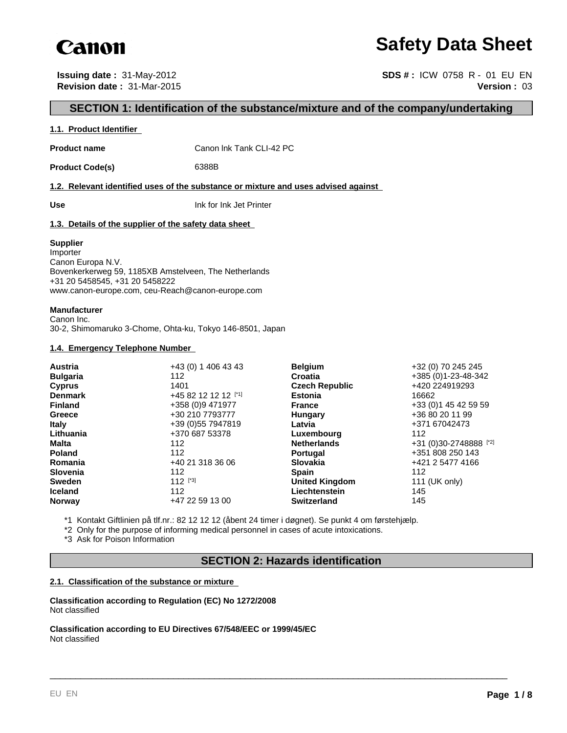

## **Safety Data Sheet**

**Issuing date :** 31-May-2012 **SDS # :** ICW 0758 R - 01 EU EN **Revision date :** 31-Mar-2015 **Version :** 03

#### **SECTION 1: Identification of the substance/mixture and of the company/undertaking**

#### **1.1. Product Identifier**

**Product name** Canon Ink Tank CLI-42 PC

Product Code(s) 6388B

**1.2. Relevant identified uses of the substance or mixture and uses advised against** 

**Use** Ink for Ink Jet Printer

#### **1.3. Details of the supplier of the safety data sheet**

#### **Supplier**

Importer Canon Europa N.V. Bovenkerkerweg 59, 1185XB Amstelveen, The Netherlands +31 20 5458545, +31 20 5458222 www.canon-europe.com, ceu-Reach@canon-europe.com

#### **Manufacturer**

Canon Inc. 30-2, Shimomaruko 3-Chome, Ohta-ku, Tokyo 146-8501, Japan

#### **1.4. Emergency Telephone Number**

| Austria         | +43 (0) 1 406 43 43  | <b>Belgium</b>        | +32 (0) 70 245 245     |
|-----------------|----------------------|-----------------------|------------------------|
| <b>Bulgaria</b> | 112                  | <b>Croatia</b>        | +385 (0) 1-23-48-342   |
| <b>Cyprus</b>   | 1401                 | <b>Czech Republic</b> | +420 224919293         |
| <b>Denmark</b>  | +45 82 12 12 12 [*1] | <b>Estonia</b>        | 16662                  |
| <b>Finland</b>  | +358 (0)9 471977     | <b>France</b>         | +33 (0) 1 45 42 59 59  |
| Greece          | +30 210 7793777      | Hungary               | +36 80 20 11 99        |
| <b>Italy</b>    | +39 (0) 55 7947819   | Latvia                | +371 67042473          |
| Lithuania       | +370 687 53378       | Luxembourg            | 112                    |
| <b>Malta</b>    | 112                  | <b>Netherlands</b>    | +31 (0)30-2748888 [*2] |
| <b>Poland</b>   | 112                  | <b>Portugal</b>       | +351 808 250 143       |
| Romania         | +40 21 318 36 06     | <b>Slovakia</b>       | +421 2 5477 4166       |
| <b>Slovenia</b> | 112                  | <b>Spain</b>          | 112                    |
| <b>Sweden</b>   | $112$ [*3]           | <b>United Kingdom</b> | 111 (UK only)          |
| <b>Iceland</b>  | 112                  | Liechtenstein         | 145                    |
| <b>Norway</b>   | +47 22 59 13 00      | <b>Switzerland</b>    | 145                    |

\*1 Kontakt Giftlinien på tlf.nr.: 82 12 12 12 (åbent 24 timer i døgnet). Se punkt 4 om førstehjælp.

\*2 Only for the purpose of informing medical personnel in cases of acute intoxications.

\*3 Ask for Poison Information

#### **SECTION 2: Hazards identification**

\_\_\_\_\_\_\_\_\_\_\_\_\_\_\_\_\_\_\_\_\_\_\_\_\_\_\_\_\_\_\_\_\_\_\_\_\_\_\_\_\_\_\_\_\_\_\_\_\_\_\_\_\_\_\_\_\_\_\_\_\_\_\_\_\_\_\_\_\_\_\_\_\_\_\_\_\_\_\_\_\_\_\_\_\_\_\_\_\_

#### **2.1. Classification of the substance or mixture**

**Classification according to Regulation (EC) No 1272/2008** Not classified

**Classification according to EU Directives 67/548/EEC or 1999/45/EC** Not classified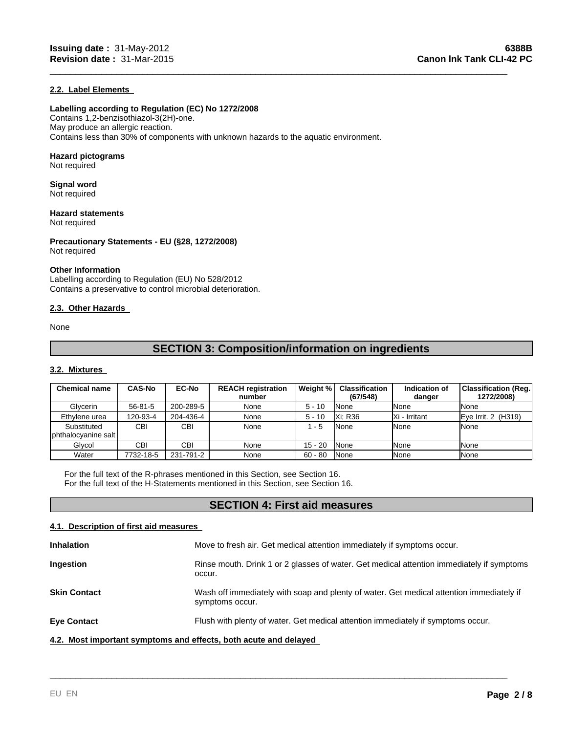#### **2.2. Label Elements**

#### **Labelling according to Regulation (EC) No 1272/2008**

Contains 1,2-benzisothiazol-3(2H)-one. May produce an allergic reaction. Contains less than 30% of components with unknown hazards to the aquatic environment.

#### **Hazard pictograms**

Not required

#### **Signal word** Not required

**Hazard statements** Not required

**Precautionary Statements - EU (§28, 1272/2008)**

## Not required

#### **Other Information**

Labelling according to Regulation (EU) No 528/2012 Contains a preservative to control microbial deterioration.

#### **2.3. Other Hazards**

None

### **SECTION 3: Composition/information on ingredients**

\_\_\_\_\_\_\_\_\_\_\_\_\_\_\_\_\_\_\_\_\_\_\_\_\_\_\_\_\_\_\_\_\_\_\_\_\_\_\_\_\_\_\_\_\_\_\_\_\_\_\_\_\_\_\_\_\_\_\_\_\_\_\_\_\_\_\_\_\_\_\_\_\_\_\_\_\_\_\_\_\_\_\_\_\_\_\_\_\_

#### **3.2. Mixtures**

| <b>Chemical name</b>               | <b>CAS-No</b> | <b>EC-No</b> | <b>REACH registration</b><br>number | Weight %  | Classification<br>(67/548) | Indication of<br>danger | Classification (Req. <br>1272/2008) |
|------------------------------------|---------------|--------------|-------------------------------------|-----------|----------------------------|-------------------------|-------------------------------------|
| Glycerin                           | $56 - 81 - 5$ | 200-289-5    | None                                | $5 - 10$  | <b>None</b>                | <b>I</b> None           | None                                |
| Ethylene urea                      | 120-93-4      | 204-436-4    | None                                | $5 - 10$  | <b>Xi: R36</b>             | IXi - Irritant          | Eye Irrit. $2$ (H319)               |
| Substituted<br>phthalocyanine salt | CBI           | <b>CBI</b>   | None                                | 1 - 5     | <b>None</b>                | <b>INone</b>            | None                                |
| Glvcol                             | CBI           | CBI          | None                                | $15 - 20$ | <b>None</b>                | <b>I</b> None           | None                                |
| Water                              | 7732-18-5     | 231-791-2    | None                                | $60 - 80$ | <b>None</b>                | <b>I</b> None           | None                                |

For the full text of the R-phrases mentioned in this Section, see Section 16. For the full text of the H-Statements mentioned in this Section, see Section 16.

#### **SECTION 4: First aid measures**

#### **4.1. Description of first aid measures**

| <b>Inhalation</b>                                                | Move to fresh air. Get medical attention immediately if symptoms occur.                                     |
|------------------------------------------------------------------|-------------------------------------------------------------------------------------------------------------|
| Ingestion                                                        | Rinse mouth. Drink 1 or 2 glasses of water. Get medical attention immediately if symptoms<br>occur.         |
| <b>Skin Contact</b>                                              | Wash off immediately with soap and plenty of water. Get medical attention immediately if<br>symptoms occur. |
| <b>Eye Contact</b>                                               | Flush with plenty of water. Get medical attention immediately if symptoms occur.                            |
| 4.2. Most important symptoms and effects, both acute and delayed |                                                                                                             |

\_\_\_\_\_\_\_\_\_\_\_\_\_\_\_\_\_\_\_\_\_\_\_\_\_\_\_\_\_\_\_\_\_\_\_\_\_\_\_\_\_\_\_\_\_\_\_\_\_\_\_\_\_\_\_\_\_\_\_\_\_\_\_\_\_\_\_\_\_\_\_\_\_\_\_\_\_\_\_\_\_\_\_\_\_\_\_\_\_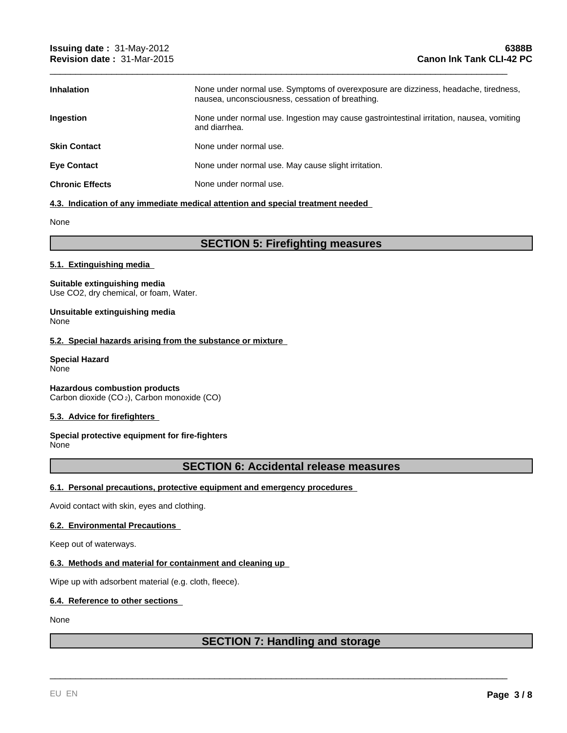| <b>Inhalation</b>      | None under normal use. Symptoms of overexposure are dizziness, headache, tiredness,<br>nausea, unconsciousness, cessation of breathing. |
|------------------------|-----------------------------------------------------------------------------------------------------------------------------------------|
| <b>Ingestion</b>       | None under normal use. Ingestion may cause gastrointestinal irritation, nausea, vomiting<br>and diarrhea.                               |
| <b>Skin Contact</b>    | None under normal use.                                                                                                                  |
| <b>Eye Contact</b>     | None under normal use. May cause slight irritation.                                                                                     |
| <b>Chronic Effects</b> | None under normal use.                                                                                                                  |

\_\_\_\_\_\_\_\_\_\_\_\_\_\_\_\_\_\_\_\_\_\_\_\_\_\_\_\_\_\_\_\_\_\_\_\_\_\_\_\_\_\_\_\_\_\_\_\_\_\_\_\_\_\_\_\_\_\_\_\_\_\_\_\_\_\_\_\_\_\_\_\_\_\_\_\_\_\_\_\_\_\_\_\_\_\_\_\_\_

#### **4.3. Indication of any immediate medical attention and special treatment needed**

None

#### **SECTION 5: Firefighting measures**

#### **5.1. Extinguishing media**

#### **Suitable extinguishing media** Use CO2, dry chemical, or foam, Water.

#### **Unsuitable extinguishing media** None

#### **5.2. Special hazards arising from the substance or mixture**

#### **Special Hazard** None

**Hazardous combustion products** Carbon dioxide (CO 2), Carbon monoxide (CO)

#### **5.3. Advice for firefighters**

#### **Special protective equipment for fire-fighters** None

#### **SECTION 6: Accidental release measures**

#### **6.1. Personal precautions, protective equipment and emergency procedures**

Avoid contact with skin, eyes and clothing.

#### **6.2. Environmental Precautions**

Keep out of waterways.

#### **6.3. Methods and material for containment and cleaning up**

Wipe up with adsorbent material (e.g. cloth, fleece).

#### **6.4. Reference to other sections**

#### None

#### **SECTION 7: Handling and storage**

\_\_\_\_\_\_\_\_\_\_\_\_\_\_\_\_\_\_\_\_\_\_\_\_\_\_\_\_\_\_\_\_\_\_\_\_\_\_\_\_\_\_\_\_\_\_\_\_\_\_\_\_\_\_\_\_\_\_\_\_\_\_\_\_\_\_\_\_\_\_\_\_\_\_\_\_\_\_\_\_\_\_\_\_\_\_\_\_\_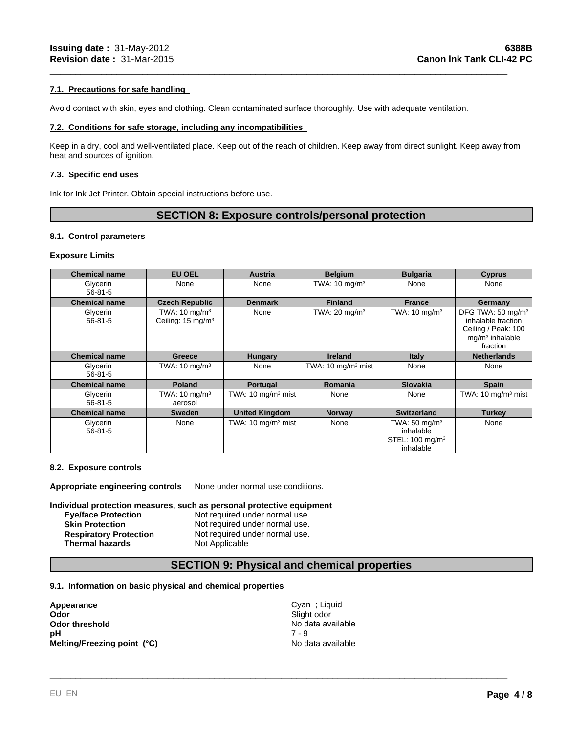#### **7.1. Precautions for safe handling**

Avoid contact with skin, eyes and clothing. Clean contaminated surface thoroughly. Use with adequate ventilation.

#### **7.2. Conditions for safe storage, including any incompatibilities**

Keep in a dry, cool and well-ventilated place. Keep out of the reach of children. Keep away from direct sunlight. Keep away from heat and sources of ignition.

\_\_\_\_\_\_\_\_\_\_\_\_\_\_\_\_\_\_\_\_\_\_\_\_\_\_\_\_\_\_\_\_\_\_\_\_\_\_\_\_\_\_\_\_\_\_\_\_\_\_\_\_\_\_\_\_\_\_\_\_\_\_\_\_\_\_\_\_\_\_\_\_\_\_\_\_\_\_\_\_\_\_\_\_\_\_\_\_\_

#### **7.3. Specific end uses**

Ink for Ink Jet Printer. Obtain special instructions before use.

#### **SECTION 8: Exposure controls/personal protection**

#### **8.1. Control parameters**

#### **Exposure Limits**

| <b>Chemical name</b>      | <b>EU OEL</b>                                             | <b>Austria</b>                | <b>Belgium</b>                | <b>Bulgaria</b>                                                                   | <b>Cyprus</b>                                                                                               |
|---------------------------|-----------------------------------------------------------|-------------------------------|-------------------------------|-----------------------------------------------------------------------------------|-------------------------------------------------------------------------------------------------------------|
| Glycerin<br>$56 - 81 - 5$ | None                                                      | None                          | TWA: $10 \text{ mg/m}^3$      | None                                                                              | None                                                                                                        |
| <b>Chemical name</b>      | <b>Czech Republic</b>                                     | <b>Denmark</b>                | <b>Finland</b>                | <b>France</b>                                                                     | Germany                                                                                                     |
| Glycerin<br>$56 - 81 - 5$ | TWA: $10 \text{ mg/m}^3$<br>Ceiling: 15 mg/m <sup>3</sup> | None                          | TWA: $20 \text{ mg/m}^3$      | TWA: $10 \text{ mg/m}^3$                                                          | DFG TWA: 50 mg/m <sup>3</sup><br>inhalable fraction<br>Ceiling / Peak: 100<br>$mq/m3$ inhalable<br>fraction |
| <b>Chemical name</b>      | <b>Greece</b>                                             | <b>Hungary</b>                | <b>Ireland</b>                | <b>Italy</b>                                                                      | <b>Netherlands</b>                                                                                          |
| Glycerin<br>$56 - 81 - 5$ | TWA: $10 \text{ mg/m}^3$                                  | None                          | TWA: $10 \text{ mg/m}^3$ mist | None                                                                              | None                                                                                                        |
| <b>Chemical name</b>      | <b>Poland</b>                                             | Portugal                      | Romania                       | <b>Slovakia</b>                                                                   | <b>Spain</b>                                                                                                |
| Glycerin<br>$56 - 81 - 5$ | TWA: $10 \text{ mg/m}^3$<br>aerosol                       | TWA: $10 \text{ mg/m}^3$ mist | None                          | None                                                                              | TWA: 10 mg/m <sup>3</sup> mist                                                                              |
| <b>Chemical name</b>      | <b>Sweden</b>                                             | <b>United Kingdom</b>         | <b>Norway</b>                 | <b>Switzerland</b>                                                                | <b>Turkey</b>                                                                                               |
| Glycerin<br>$56 - 81 - 5$ | None                                                      | TWA: $10 \text{ mg/m}^3$ mist | None                          | TWA: $50 \text{ mg/m}^3$<br>inhalable<br>STEL: 100 mg/m <sup>3</sup><br>inhalable | None                                                                                                        |

#### **8.2. Exposure controls**

**Appropriate engineering controls** None under normal use conditions.

#### **Individual protection measures, such as personal protective equipment**

| <b>Eve/face Protection</b>    | Not required under normal use. |
|-------------------------------|--------------------------------|
| <b>Skin Protection</b>        | Not required under normal use. |
| <b>Respiratory Protection</b> | Not required under normal use. |
| <b>Thermal hazards</b>        | Not Applicable                 |

#### **SECTION 9: Physical and chemical properties**

#### **9.1. Information on basic physical and chemical properties**

**Appearance** Cyan ; Liquid **Odor** Cyan ; Liquid **Odor** Cyan ; Liquid **Cyan** ; Liquid **Cyan** ; Liquid **Cyan** ; Liquid **Cyan** ; Liquid **Cyan** ; Liquid **Cyan** ; Liquid **Cyan** ; Liquid **Cyan** ; Liquid **Cyan** ; Liquid **Cyan** ; Odor<br>
Odor threshold<br>
pH<br>
Melting/Freezing point (°C)<br>
Melting/Freezing point (°C)<br>
Melting/Freezing point (°C)<br>
No data available<br>
No data available **Odor threshold**<br> **Odor threshold**<br> **PH**<br>  $7 - 9$ <br>  $7 - 9$ **pH** 7 - 9 **Melting/Freezing point (°C)** No data available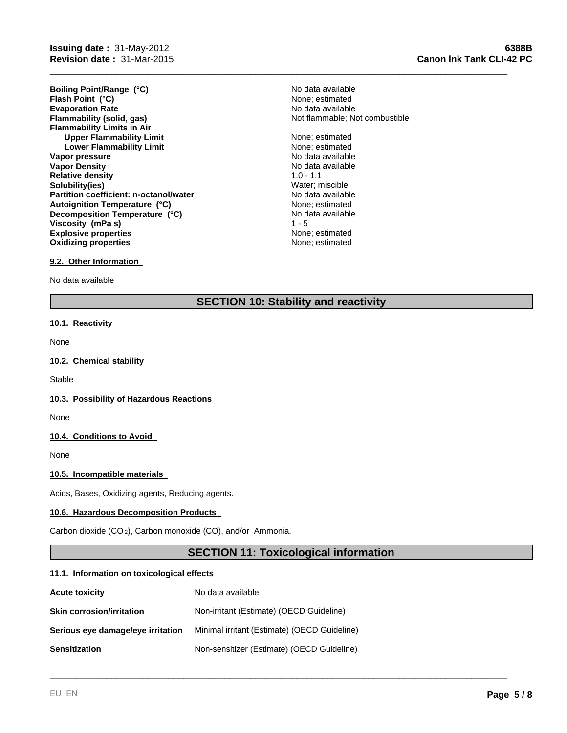**Evaporation Rate Evaporation Rate Evaporation Rate Flammability (solid, gas) No data available Flammability (solid, gas) No data available Flammability Limits in Air Upper Flammability Limit** None; estimated None; estimated None; estimated None; estimated None; estimated None; estimated None; estimated None; estimated None; estimated None; estimated None; estimated None; estimated Non **Lower Flammability Limit Vapor pressure** No data available No data available **Vapor Density No data available** No data available **Relative density** 1.0 - 1.1 **Solubility(ies)** Water; miscible **Partition coefficient: n-octanol/water** No data available<br> **Autoignition Temperature (°C)** None: estimated **Explosive properties None**; estimated **Oxidizing properties None; estimated None; estimated Boiling Point/Range (°C)** No data available **Flash Point** (°C)  $\overline{C}$  1  $\overline{C}$  1  $\overline{C}$  1  $\overline{C}$  2  $\overline{C}$  1  $\overline{C}$  1  $\overline{C}$  1  $\overline{C}$  1  $\overline{C}$  1  $\overline{C}$  1  $\overline{C}$  1  $\overline{C}$  1  $\overline{C}$  1  $\overline{C}$  1  $\overline{C}$  1  $\overline{C}$  1  $\overline{C}$  1  $\overline{C}$  1  $\overline{$ **Autoignition Temperature (°C) Decomposition Temperature (°C) Viscosity (mPa s)** 

# Not flammable; Not combustible

No data available<br>1 - 5

\_\_\_\_\_\_\_\_\_\_\_\_\_\_\_\_\_\_\_\_\_\_\_\_\_\_\_\_\_\_\_\_\_\_\_\_\_\_\_\_\_\_\_\_\_\_\_\_\_\_\_\_\_\_\_\_\_\_\_\_\_\_\_\_\_\_\_\_\_\_\_\_\_\_\_\_\_\_\_\_\_\_\_\_\_\_\_\_\_

#### **9.2. Other Information**

No data available

#### **SECTION 10: Stability and reactivity**

#### **10.1. Reactivity**

None

#### **10.2. Chemical stability**

**Stable** 

#### **10.3. Possibility of Hazardous Reactions**

None

#### **10.4. Conditions to Avoid**

None

#### **10.5. Incompatible materials**

Acids, Bases, Oxidizing agents, Reducing agents.

#### **10.6. Hazardous Decomposition Products**

Carbon dioxide (CO 2), Carbon monoxide (CO), and/or Ammonia.

#### **SECTION 11: Toxicological information**

\_\_\_\_\_\_\_\_\_\_\_\_\_\_\_\_\_\_\_\_\_\_\_\_\_\_\_\_\_\_\_\_\_\_\_\_\_\_\_\_\_\_\_\_\_\_\_\_\_\_\_\_\_\_\_\_\_\_\_\_\_\_\_\_\_\_\_\_\_\_\_\_\_\_\_\_\_\_\_\_\_\_\_\_\_\_\_\_\_

#### **11.1. Information on toxicological effects**

| <b>Acute toxicity</b>             | No data available                            |
|-----------------------------------|----------------------------------------------|
| <b>Skin corrosion/irritation</b>  | Non-irritant (Estimate) (OECD Guideline)     |
| Serious eye damage/eye irritation | Minimal irritant (Estimate) (OECD Guideline) |
| <b>Sensitization</b>              | Non-sensitizer (Estimate) (OECD Guideline)   |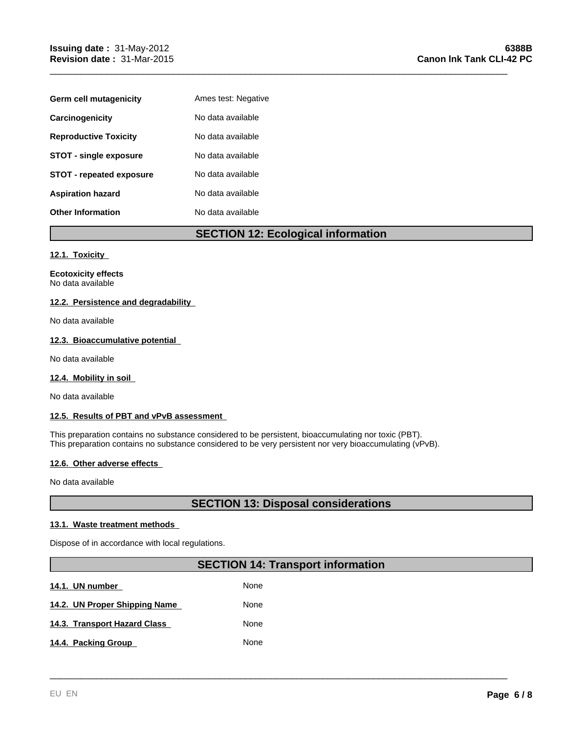| Germ cell mutagenicity          | Ames test: Negative |
|---------------------------------|---------------------|
| Carcinogenicity                 | No data available   |
| <b>Reproductive Toxicity</b>    | No data available   |
| <b>STOT - single exposure</b>   | No data available   |
| <b>STOT - repeated exposure</b> | No data available   |
| <b>Aspiration hazard</b>        | No data available   |
| <b>Other Information</b>        | No data available   |

#### **SECTION 12: Ecological information**

\_\_\_\_\_\_\_\_\_\_\_\_\_\_\_\_\_\_\_\_\_\_\_\_\_\_\_\_\_\_\_\_\_\_\_\_\_\_\_\_\_\_\_\_\_\_\_\_\_\_\_\_\_\_\_\_\_\_\_\_\_\_\_\_\_\_\_\_\_\_\_\_\_\_\_\_\_\_\_\_\_\_\_\_\_\_\_\_\_

#### **12.1. Toxicity**

**Ecotoxicity effects** No data available

#### **12.2. Persistence and degradability**

No data available

#### **12.3. Bioaccumulative potential**

No data available

#### **12.4. Mobility in soil**

No data available

#### **12.5. Results of PBT and vPvB assessment**

This preparation contains no substance considered to be persistent, bioaccumulating nor toxic (PBT). This preparation contains no substance considered to be very persistent nor very bioaccumulating (vPvB).

#### **12.6. Other adverse effects**

No data available

#### **SECTION 13: Disposal considerations**

#### **13.1. Waste treatment methods**

Dispose of in accordance with local regulations.

#### **SECTION 14: Transport information**

\_\_\_\_\_\_\_\_\_\_\_\_\_\_\_\_\_\_\_\_\_\_\_\_\_\_\_\_\_\_\_\_\_\_\_\_\_\_\_\_\_\_\_\_\_\_\_\_\_\_\_\_\_\_\_\_\_\_\_\_\_\_\_\_\_\_\_\_\_\_\_\_\_\_\_\_\_\_\_\_\_\_\_\_\_\_\_\_\_

**14.1. UN number 14.1. None** 14.2. UN Proper Shipping Name **None** None **14.3. Transport Hazard Class None** 14.4. Packing Group None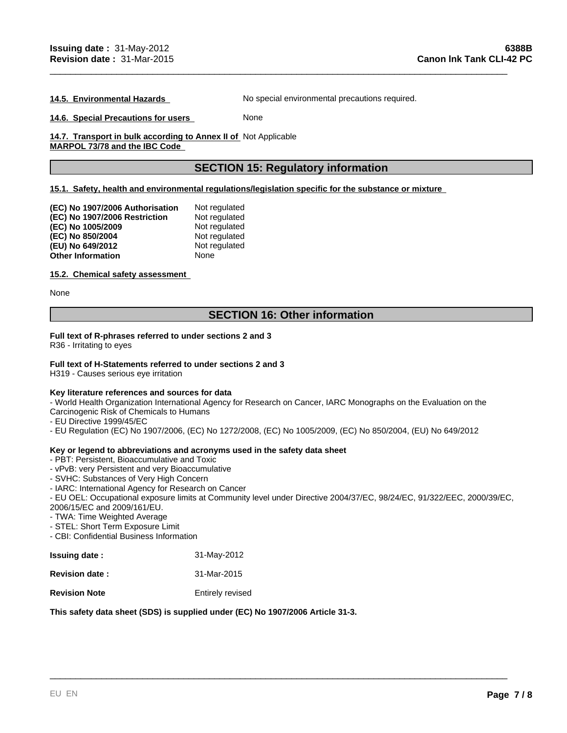**14.5. Environmental Hazards** No special environmental precautions required.

\_\_\_\_\_\_\_\_\_\_\_\_\_\_\_\_\_\_\_\_\_\_\_\_\_\_\_\_\_\_\_\_\_\_\_\_\_\_\_\_\_\_\_\_\_\_\_\_\_\_\_\_\_\_\_\_\_\_\_\_\_\_\_\_\_\_\_\_\_\_\_\_\_\_\_\_\_\_\_\_\_\_\_\_\_\_\_\_\_

**14.6. Special Precautions for users** None

14.7. Transport in bulk according to Annex II of Not Applicable **MARPOL 73/78 and the IBC Code** 

#### **SECTION 15: Regulatory information**

**15.1. Safety, health and environmental regulations/legislation specific for the substance or mixture** 

| (EC) No 1907/2006 Authorisation | Not regulated |
|---------------------------------|---------------|
| (EC) No 1907/2006 Restriction   | Not regulated |
| (EC) No 1005/2009               | Not regulated |
| (EC) No 850/2004                | Not regulated |
| (EU) No 649/2012                | Not regulated |
| <b>Other Information</b>        | None          |

#### **15.2. Chemical safety assessment**

None

#### **SECTION 16: Other information**

#### **Full text of R-phrases referred to under sections 2 and 3**

R36 - Irritating to eyes

#### **Full text of H-Statements referred to under sections 2 and 3**

H319 - Causes serious eye irritation

#### **Key literature references and sources for data**

- World Health Organization International Agency for Research on Cancer, IARC Monographs on the Evaluation on the Carcinogenic Risk of Chemicals to Humans

- EU Directive 1999/45/EC
- EU Regulation (EC) No 1907/2006, (EC) No 1272/2008, (EC) No 1005/2009, (EC) No 850/2004, (EU) No 649/2012

#### **Key or legend to abbreviations and acronyms used in the safety data sheet**

- PBT: Persistent, Bioaccumulative and Toxic
- vPvB: very Persistent and very Bioaccumulative
- SVHC: Substances of Very High Concern
- IARC: International Agency for Research on Cancer

- EU OEL: Occupational exposure limits at Community level under Directive 2004/37/EC, 98/24/EC, 91/322/EEC, 2000/39/EC, 2006/15/EC and 2009/161/EU.

\_\_\_\_\_\_\_\_\_\_\_\_\_\_\_\_\_\_\_\_\_\_\_\_\_\_\_\_\_\_\_\_\_\_\_\_\_\_\_\_\_\_\_\_\_\_\_\_\_\_\_\_\_\_\_\_\_\_\_\_\_\_\_\_\_\_\_\_\_\_\_\_\_\_\_\_\_\_\_\_\_\_\_\_\_\_\_\_\_

- TWA: Time Weighted Average
- STEL: Short Term Exposure Limit
- CBI: Confidential Business Information

| <b>Issuing date:</b>  | 31-May-2012      |
|-----------------------|------------------|
| <b>Revision date:</b> | 31-Mar-2015      |
| <b>Revision Note</b>  | Entirely revised |

#### **This safety data sheet (SDS) is supplied under (EC) No 1907/2006 Article 31-3.**